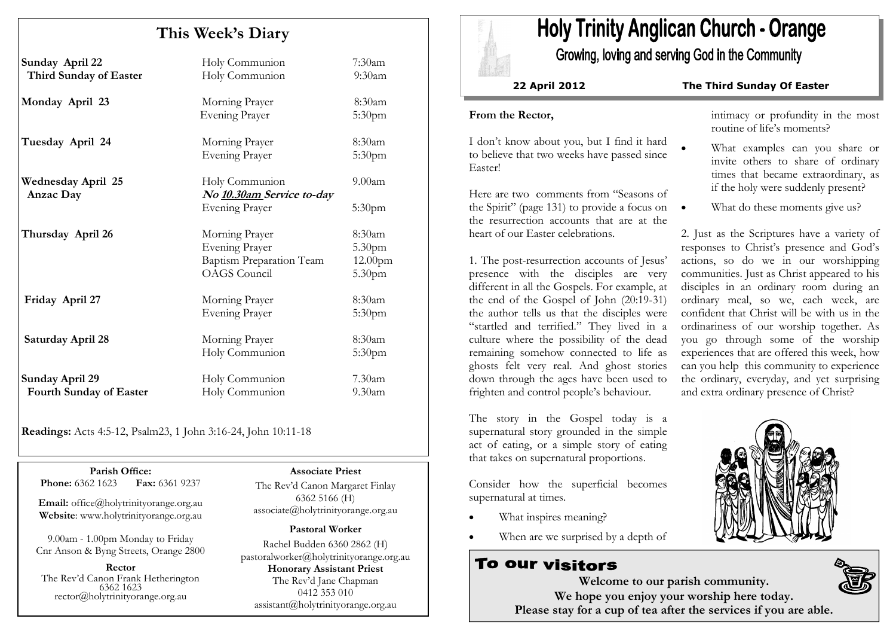# This Week's Diary

| Sunday April 22<br>Third Sunday of Easter  | Holy Communion<br>Holy Communion                                                           | 7:30am<br>9:30am                      |
|--------------------------------------------|--------------------------------------------------------------------------------------------|---------------------------------------|
| Monday April 23                            | Morning Prayer<br><b>Evening Prayer</b>                                                    | 8:30am<br>5:30pm                      |
| Tuesday April 24                           | Morning Prayer<br><b>Evening Prayer</b>                                                    | 8:30am<br>5:30pm                      |
| <b>Wednesday April 25</b><br>Anzac Day     | Holy Communion<br>No 10.30am Service to-day<br>Evening Prayer                              | 9.00am<br>5:30pm                      |
| Thursday April 26                          | Morning Prayer<br>Evening Prayer<br><b>Baptism Preparation Team</b><br><b>OAGS</b> Council | 8:30am<br>5.30pm<br>12.00pm<br>5.30pm |
| Friday April 27                            | Morning Prayer<br><b>Evening Prayer</b>                                                    | 8:30am<br>5:30 <sub>pm</sub>          |
| Saturday April 28                          | Morning Prayer<br>Holy Communion                                                           | 8:30am<br>5:30 <sub>pm</sub>          |
| Sunday April 29<br>Fourth Sunday of Easter | Holy Communion<br>Holy Communion                                                           | 7.30am<br>9.30 <sub>am</sub>          |

Readings: Acts 4:5-12, Psalm23, 1 John 3:16-24, John 10:11-18

Parish Office: Fax: 6361 9237 Phone: 6362 1623

Email: office@holytrinityorange.org.au Website: www.holytrinityorange.org.au

9.00am - 1.00pm Monday to Friday Cnr Anson & Byng Streets, Orange 2800

Rector The Rev'd Canon Frank Hetherington 6362 1623 rector@holytrinityorange.org.au

Associate Priest

The Rev'd Canon Margaret Finlay 6362 5166 (H) associate@holytrinityorange.org.au

#### Pastoral Worker

Rachel Budden 6360 2862 (H) pastoralworker@holytrinityorange.org.auHonorary Assistant Priest The Rev'd Jane Chapman 0412 353 010 assistant@holytrinityorange.org.au

# **Holy Trinity Anglican Church - Orange**

Growing, loving and serving God in the Community

#### 22 April 2012 The Third Sunday Of Easter

#### From the Rector,

I don't know about you, but I find it hard to believe that two weeks have passed since Easter!

Here are two comments from "Seasons of the Spirit" (page 131) to provide a focus on the resurrection accounts that are at the heart of our Easter celebrations.

1. The post-resurrection accounts of Jesus' presence with the disciples are very different in all the Gospels. For example, at the end of the Gospel of John (20:19-31) the author tells us that the disciples were "startled and terrified." They lived in a culture where the possibility of the dead remaining somehow connected to life as ghosts felt very real. And ghost stories down through the ages have been used to frighten and control people's behaviour.

The story in the Gospel today is a supernatural story grounded in the simple act of eating, or a simple story of eating that takes on supernatural proportions.

Consider how the superficial becomes supernatural at times.

- What inspires meaning?
- When are we surprised by a depth of

# To our visitors

intimacy or profundity in the most routine of life's moments?

- What examples can you share or invite others to share of ordinary times that became extraordinary, as if the holy were suddenly present?
- What do these moments give us?

2. Just as the Scriptures have a variety of responses to Christ's presence and God's actions, so do we in our worshipping communities. Just as Christ appeared to his disciples in an ordinary room during an ordinary meal, so we, each week, are confident that Christ will be with us in the ordinariness of our worship together. As you go through some of the worship experiences that are offered this week, how can you help this community to experience the ordinary, everyday, and yet surprising and extra ordinary presence of Christ?





Welcome to our parish community. We hope you enjoy your worship here today. Please stay for a cup of tea after the services if you are able.